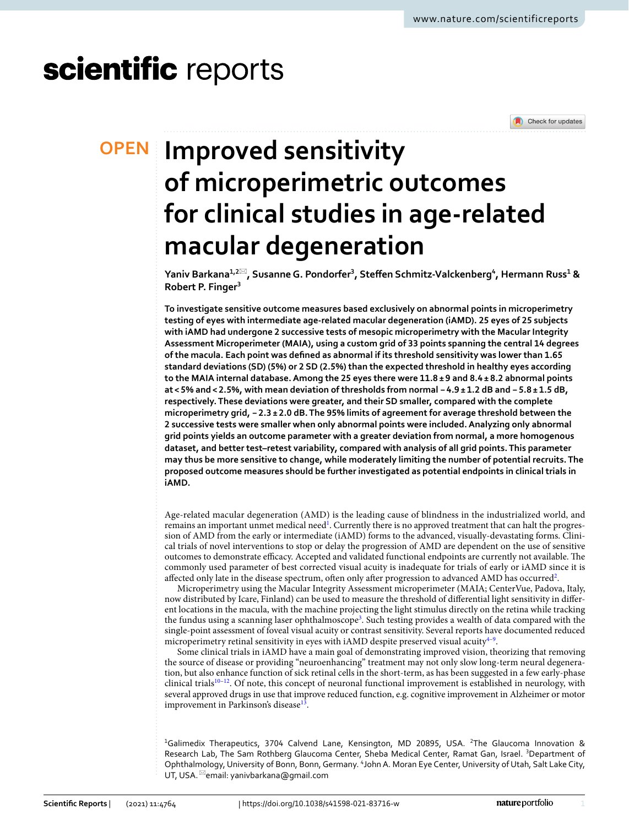# scientific reports



# **Improved sensitivity OPEN of microperimetric outcomes for clinical studies in age‑related macular degeneration**

**Yaniv Barkana1,2**\***, SusanneG. Pondorfer3 , Stefen Schmitz‑Valckenberg4 , Hermann Russ1 & Robert P. Finger3**

**To investigate sensitive outcome measures based exclusively on abnormal points in microperimetry testing of eyes with intermediate age-related macular degeneration (iAMD). 25 eyes of 25 subjects with iAMD had undergone 2 successive tests of mesopic microperimetry with the Macular Integrity Assessment Microperimeter (MAIA), using a custom grid of 33 points spanning the central 14 degrees of the macula. Each point was defned as abnormal if its threshold sensitivity was lower than 1.65 standard deviations (SD) (5%) or 2 SD (2.5%) than the expected threshold in healthy eyes according to the MAIA internal database. Among the 25 eyes there were 11.8 ± 9 and 8.4 ± 8.2 abnormal points at < 5% and< 2.5%, with mean deviation of thresholds from normal −4.9 ± 1.2 dB and − 5.8 ± 1.5 dB, respectively. These deviations were greater, and their SD smaller, compared with the complete microperimetry grid, −2.3 ± 2.0 dB. The 95% limits of agreement for average threshold between the 2 successive tests were smaller when only abnormal points were included. Analyzing only abnormal grid points yields an outcome parameter with a greater deviation from normal, a more homogenous dataset, and better test–retest variability, compared with analysis of all grid points. This parameter may thus be more sensitive to change, while moderately limiting the number of potential recruits. The proposed outcome measures should be further investigated as potential endpoints in clinical trials in iAMD.**

Age-related macular degeneration (AMD) is the leading cause of blindness in the industrialized world, and remains an important unmet medical need<sup>1</sup>. Currently there is no approved treatment that can halt the progression of AMD from the early or intermediate (iAMD) forms to the advanced, visually-devastating forms. Clinical trials of novel interventions to stop or delay the progression of AMD are dependent on the use of sensitive outcomes to demonstrate efficacy. Accepted and validated functional endpoints are currently not available. The commonly used parameter of best corrected visual acuity is inadequate for trials of early or iAMD since it is affected only late in the disease spectrum, often only after progression to advanced AMD has occurred<sup>[2](#page-5-1)</sup>.

Microperimetry using the Macular Integrity Assessment microperimeter (MAIA; CenterVue, Padova, Italy, now distributed by Icare, Finland) can be used to measure the threshold of diferential light sensitivity in diferent locations in the macula, with the machine projecting the light stimulus directly on the retina while tracking the fundus using a scanning laser ophthalmoscope<sup>[3](#page-5-2)</sup>. Such testing provides a wealth of data compared with the single-point assessment of foveal visual acuity or contrast sensitivity. Several reports have documented reduced microperimetry retinal sensitivity in eyes with  $\mathrm{iAMD}$  despite preserved visual acuity $^{4\textrm{--}9}\!.$  $^{4\textrm{--}9}\!.$  $^{4\textrm{--}9}\!.$ 

Some clinical trials in iAMD have a main goal of demonstrating improved vision, theorizing that removing the source of disease or providing "neuroenhancing" treatment may not only slow long-term neural degeneration, but also enhance function of sick retinal cells in the short-term, as has been suggested in a few early-phase clinical trials<sup>10-[12](#page-6-0)</sup>. Of note, this concept of neuronal functional improvement is established in neurology, with several approved drugs in use that improve reduced function, e.g. cognitive improvement in Alzheimer or motor improvement in Parkinson's disease<sup>[13](#page-6-1)</sup>.

<sup>1</sup>Galimedix Therapeutics, 3704 Calvend Lane, Kensington, MD 20895, USA. <sup>2</sup>The Glaucoma Innovation & Research Lab, The Sam Rothberg Glaucoma Center, Sheba Medical Center, Ramat Gan, Israel. <sup>3</sup>Department of Ophthalmology, University of Bonn, Bonn, Germany. <sup>4</sup>John A. Moran Eye Center, University of Utah, Salt Lake City, UT, USA. <sup>⊠</sup>email: yanivbarkana@gmail.com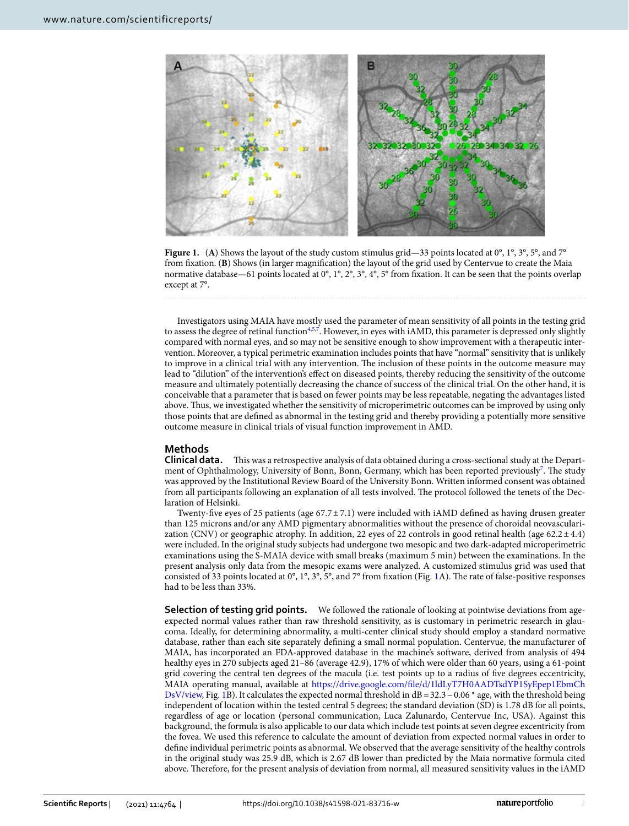

<span id="page-1-0"></span>**Figure 1.** (A) Shows the layout of the study custom stimulus grid—33 points located at 0°, 1°, 3°, 5°, and 7° from fxation. (**B**) Shows (in larger magnifcation) the layout of the grid used by Centervue to create the Maia normative database—61 points located at 0°, 1°, 2°, 3°, 4°, 5° from fxation. It can be seen that the points overlap except at 7°.

Investigators using MAIA have mostly used the parameter of mean sensitivity of all points in the testing grid to assess the degree of retinal function<sup>4[,5](#page-5-6)[,7](#page-5-7)</sup>. However, in eyes with iAMD, this parameter is depressed only slightly compared with normal eyes, and so may not be sensitive enough to show improvement with a therapeutic intervention. Moreover, a typical perimetric examination includes points that have "normal" sensitivity that is unlikely to improve in a clinical trial with any intervention. The inclusion of these points in the outcome measure may lead to "dilution" of the intervention's efect on diseased points, thereby reducing the sensitivity of the outcome measure and ultimately potentially decreasing the chance of success of the clinical trial. On the other hand, it is conceivable that a parameter that is based on fewer points may be less repeatable, negating the advantages listed above. Thus, we investigated whether the sensitivity of microperimetric outcomes can be improved by using only those points that are defned as abnormal in the testing grid and thereby providing a potentially more sensitive outcome measure in clinical trials of visual function improvement in AMD.

# **Methods**

**Clinical data.** This was a retrospective analysis of data obtained during a cross-sectional study at the Depart-ment of Ophthalmology, University of Bonn, Bonn, Germany, which has been reported previously<sup>[7](#page-5-7)</sup>. The study was approved by the Institutional Review Board of the University Bonn. Written informed consent was obtained from all participants following an explanation of all tests involved. The protocol followed the tenets of the Declaration of Helsinki.

Twenty-fve eyes of 25 patients (age 67.7±7.1) were included with iAMD defned as having drusen greater than 125 microns and/or any AMD pigmentary abnormalities without the presence of choroidal neovascularization (CNV) or geographic atrophy. In addition, 22 eyes of 22 controls in good retinal health (age 62.2 $\pm$ 4.4) were included. In the original study subjects had undergone two mesopic and two dark-adapted microperimetric examinations using the S-MAIA device with small breaks (maximum 5 min) between the examinations. In the present analysis only data from the mesopic exams were analyzed. A customized stimulus grid was used that consisted of 33 points located at 0°, 1°, 3°, 5°, and 7° from fixation (Fig. [1A](#page-1-0)). The rate of false-positive responses had to be less than 33%.

**Selection of testing grid points.** We followed the rationale of looking at pointwise deviations from ageexpected normal values rather than raw threshold sensitivity, as is customary in perimetric research in glaucoma. Ideally, for determining abnormality, a multi-center clinical study should employ a standard normative database, rather than each site separately defning a small normal population. Centervue, the manufacturer of MAIA, has incorporated an FDA-approved database in the machine's sofware, derived from analysis of 494 healthy eyes in 270 subjects aged 21–86 (average 42.9), 17% of which were older than 60 years, using a 61-point grid covering the central ten degrees of the macula (i.e. test points up to a radius of fve degrees eccentricity, MAIA operating manual, available at [https://drive.google.com/fle/d/1ldLyT7H0AADTsdYP1SyEpep1EbmCh](https://drive.google.com/file/d/1ldLyT7H0AADTsdYP1SyEpep1EbmChDsV/view) [DsV/view](https://drive.google.com/file/d/1ldLyT7H0AADTsdYP1SyEpep1EbmChDsV/view), Fig. [1](#page-1-0)B). It calculates the expected normal threshold in dB=32.3−0.06 \* age, with the threshold being independent of location within the tested central 5 degrees; the standard deviation (SD) is 1.78 dB for all points, regardless of age or location (personal communication, Luca Zalunardo, Centervue Inc, USA). Against this background, the formula is also applicable to our data which include test points at seven degree excentricity from the fovea. We used this reference to calculate the amount of deviation from expected normal values in order to defne individual perimetric points as abnormal. We observed that the average sensitivity of the healthy controls in the original study was 25.9 dB, which is 2.67 dB lower than predicted by the Maia normative formula cited above. Therefore, for the present analysis of deviation from normal, all measured sensitivity values in the iAMD

2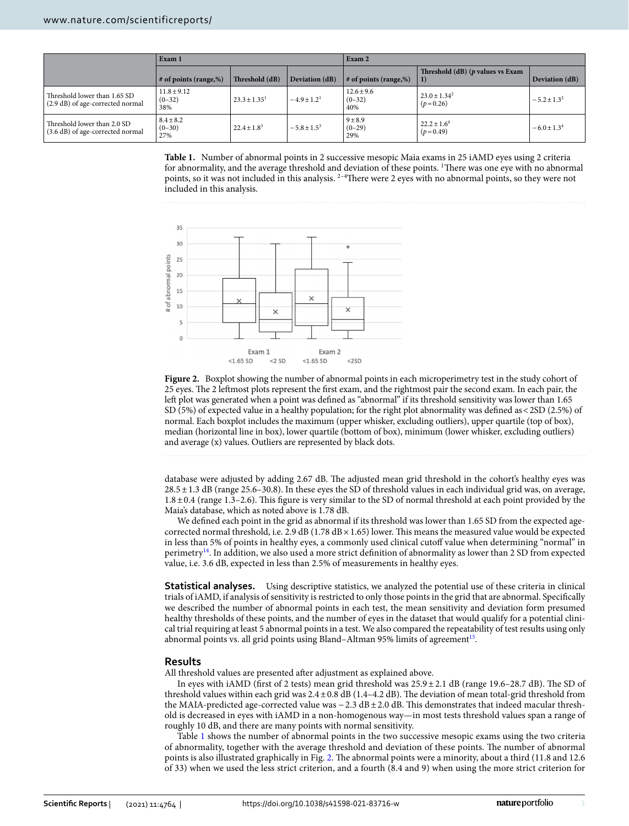|                                                                  | Exam 1                             |                   |                             | Exam 2                            |                                             |                    |  |
|------------------------------------------------------------------|------------------------------------|-------------------|-----------------------------|-----------------------------------|---------------------------------------------|--------------------|--|
|                                                                  | $\#$ of points (range,%)           | Threshold (dB)    | Deviation (dB)              | $\#$ of points (range, %)         | Threshold $(dB)$ ( $p$ values vs Exam<br>1) | Deviation (dB)     |  |
| Threshold lower than 1.65 SD<br>(2.9 dB) of age-corrected normal | $11.8 \pm 9.12$<br>$(0-32)$<br>38% | $23.3 \pm 1.35^1$ | $-4.9 \pm 1.2$ <sup>1</sup> | $12.6 \pm 9.6$<br>$(0-32)$<br>40% | $23.0 \pm 1.34^2$<br>$(p=0.26)$             | $-5.2 + 1.3^{2}$   |  |
| Threshold lower than 2.0 SD<br>(3.6 dB) of age-corrected normal  | $8.4 \pm 8.2$<br>$(0-30)$<br>27%   | $22.4 \pm 1.8^3$  | $-5.8 \pm 1.5^{3}$          | $9 + 8.9$<br>$(0-29)$<br>29%      | $22.2 \pm 1.6^4$<br>$(p=0.49)$              | $-6.0 \pm 1.3^{4}$ |  |

<span id="page-2-0"></span>**Table 1.** Number of abnormal points in 2 successive mesopic Maia exams in 25 iAMD eyes using 2 criteria for abnormality, and the average threshold and deviation of these points. <sup>1</sup>There was one eye with no abnormal points, so it was not included in this analysis. <sup>2-4</sup>There were 2 eyes with no abnormal points, so they were not included in this analysis.



<span id="page-2-1"></span>**Figure 2.** Boxplot showing the number of abnormal points in each microperimetry test in the study cohort of 25 eyes. The 2 leftmost plots represent the first exam, and the rightmost pair the second exam. In each pair, the left plot was generated when a point was defined as "abnormal" if its threshold sensitivity was lower than 1.65 SD (5%) of expected value in a healthy population; for the right plot abnormality was defned as<2SD (2.5%) of normal. Each boxplot includes the maximum (upper whisker, excluding outliers), upper quartile (top of box), median (horizontal line in box), lower quartile (bottom of box), minimum (lower whisker, excluding outliers) and average (x) values. Outliers are represented by black dots.

database were adjusted by adding 2.67 dB. The adjusted mean grid threshold in the cohort's healthy eyes was 28.5±1.3 dB (range 25.6–30.8). In these eyes the SD of threshold values in each individual grid was, on average, 1.8±0.4 (range 1.3–2.6). Tis fgure is very similar to the SD of normal threshold at each point provided by the Maia's database, which as noted above is 1.78 dB.

We defned each point in the grid as abnormal if its threshold was lower than 1.65 SD from the expected agecorrected normal threshold, i.e. 2.9 dB (1.78 dB  $\times$  1.65) lower. This means the measured value would be expected in less than 5% of points in healthy eyes, a commonly used clinical cutoff value when determining "normal" in perimetr[y14](#page-6-2). In addition, we also used a more strict defnition of abnormality as lower than 2 SD from expected value, i.e. 3.6 dB, expected in less than 2.5% of measurements in healthy eyes.

**Statistical analyses.** Using descriptive statistics, we analyzed the potential use of these criteria in clinical trials of iAMD, if analysis of sensitivity is restricted to only those points in the grid that are abnormal. Specifcally we described the number of abnormal points in each test, the mean sensitivity and deviation form presumed healthy thresholds of these points, and the number of eyes in the dataset that would qualify for a potential clinical trial requiring at least 5 abnormal points in a test. We also compared the repeatability of test results using only abnormal points vs. all grid points using Bland-Altman 95% limits of agreement<sup>15</sup>.

# **Results**

All threshold values are presented after adjustment as explained above.

In eyes with iAMD (first of 2 tests) mean grid threshold was  $25.9 \pm 2.1$  dB (range 19.6–28.7 dB). The SD of threshold values within each grid was  $2.4 \pm 0.8$  dB (1.4-4.2 dB). The deviation of mean total-grid threshold from the MAIA-predicted age-corrected value was −2.3 dB±2.0 dB. Tis demonstrates that indeed macular threshold is decreased in eyes with iAMD in a non-homogenous way—in most tests threshold values span a range of roughly 10 dB, and there are many points with normal sensitivity.

Table [1](#page-2-0) shows the number of abnormal points in the two successive mesopic exams using the two criteria of abnormality, together with the average threshold and deviation of these points. The number of abnormal points is also illustrated graphically in Fig. [2.](#page-2-1) The abnormal points were a minority, about a third (11.8 and 12.6 of 33) when we used the less strict criterion, and a fourth (8.4 and 9) when using the more strict criterion for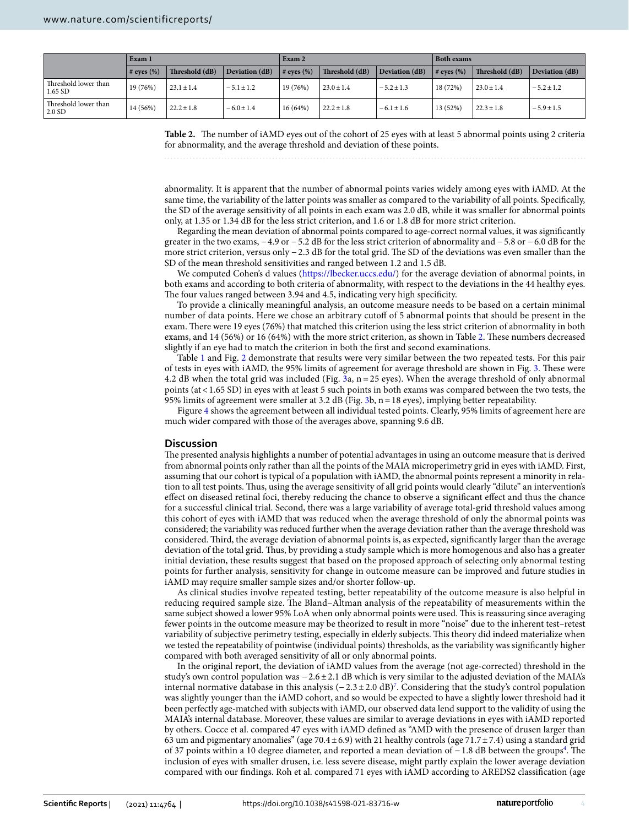|                                   | Exam 1            |                |                | Exam 2          |                |                | <b>Both exams</b> |                |                |
|-----------------------------------|-------------------|----------------|----------------|-----------------|----------------|----------------|-------------------|----------------|----------------|
|                                   | $\#$ eves $(\% )$ | Threshold (dB) | Deviation (dB) | $#$ eyes $(\%)$ | Threshold (dB) | Deviation (dB) | $\#$ eves $(\% )$ | Threshold (dB) | Deviation (dB) |
| Threshold lower than<br>$1.65$ SD | 19 (76%)          | $23.1 \pm 1.4$ | $-5.1 \pm 1.2$ | 19(76%)         | $23.0 \pm 1.4$ | $-5.2 \pm 1.3$ | 18(72%)           | $23.0 \pm 1.4$ | $-5.2 \pm 1.2$ |
| Threshold lower than<br>$2.0$ SD  | 14 (56%)          | $22.2 \pm 1.8$ | $-6.0 \pm 1.4$ | $16(64\%)$      | $22.2 \pm 1.8$ | $-6.1 \pm 1.6$ | 13 (52%)          | $22.3 \pm 1.8$ | $-5.9 \pm 1.5$ |

<span id="page-3-0"></span>**Table 2.** The number of iAMD eyes out of the cohort of 25 eyes with at least 5 abnormal points using 2 criteria for abnormality, and the average threshold and deviation of these points.

abnormality. It is apparent that the number of abnormal points varies widely among eyes with iAMD. At the same time, the variability of the latter points was smaller as compared to the variability of all points. Specifcally, the SD of the average sensitivity of all points in each exam was 2.0 dB, while it was smaller for abnormal points only, at 1.35 or 1.34 dB for the less strict criterion, and 1.6 or 1.8 dB for more strict criterion.

Regarding the mean deviation of abnormal points compared to age-correct normal values, it was signifcantly greater in the two exams, −4.9 or −5.2 dB for the less strict criterion of abnormality and −5.8 or −6.0 dB for the more strict criterion, versus only −2.3 dB for the total grid. The SD of the deviations was even smaller than the SD of the mean threshold sensitivities and ranged between 1.2 and 1.5 dB.

We computed Cohen's d values [\(https://lbecker.uccs.edu/\)](https://lbecker.uccs.edu/) for the average deviation of abnormal points, in both exams and according to both criteria of abnormality, with respect to the deviations in the 44 healthy eyes. The four values ranged between 3.94 and 4.5, indicating very high specificity.

To provide a clinically meaningful analysis, an outcome measure needs to be based on a certain minimal number of data points. Here we chose an arbitrary cutoff of 5 abnormal points that should be present in the exam. There were 19 eyes (76%) that matched this criterion using the less strict criterion of abnormality in both exams, and 14 (56%) or 16 (64%) with the more strict criterion, as shown in Table [2](#page-3-0). These numbers decreased slightly if an eye had to match the criterion in both the frst and second examinations.

Table [1](#page-2-0) and Fig. [2](#page-2-1) demonstrate that results were very similar between the two repeated tests. For this pair of tests in eyes with iAMD, the 95% limits of agreement for average threshold are shown in Fig. [3.](#page-4-0) Tese were 4.2 dB when the total grid was included (Fig. [3](#page-4-0)a, n =25 eyes). When the average threshold of only abnormal points (at<1.65 SD) in eyes with at least 5 such points in both exams was compared between the two tests, the 95% limits of agreement were smaller at 3.2 dB (Fig. [3b](#page-4-0), n=18 eyes), implying better repeatability.

Figure [4](#page-5-8) shows the agreement between all individual tested points. Clearly, 95% limits of agreement here are much wider compared with those of the averages above, spanning 9.6 dB.

### **Discussion**

The presented analysis highlights a number of potential advantages in using an outcome measure that is derived from abnormal points only rather than all the points of the MAIA microperimetry grid in eyes with iAMD. First, assuming that our cohort is typical of a population with iAMD, the abnormal points represent a minority in relation to all test points. Tus, using the average sensitivity of all grid points would clearly "dilute" an intervention's efect on diseased retinal foci, thereby reducing the chance to observe a signifcant efect and thus the chance for a successful clinical trial. Second, there was a large variability of average total-grid threshold values among this cohort of eyes with iAMD that was reduced when the average threshold of only the abnormal points was considered; the variability was reduced further when the average deviation rather than the average threshold was considered. Tird, the average deviation of abnormal points is, as expected, signifcantly larger than the average deviation of the total grid. Tus, by providing a study sample which is more homogenous and also has a greater initial deviation, these results suggest that based on the proposed approach of selecting only abnormal testing points for further analysis, sensitivity for change in outcome measure can be improved and future studies in iAMD may require smaller sample sizes and/or shorter follow-up.

As clinical studies involve repeated testing, better repeatability of the outcome measure is also helpful in reducing required sample size. The Bland–Altman analysis of the repeatability of measurements within the same subject showed a lower 95% LoA when only abnormal points were used. This is reassuring since averaging fewer points in the outcome measure may be theorized to result in more "noise" due to the inherent test–retest variability of subjective perimetry testing, especially in elderly subjects. This theory did indeed materialize when we tested the repeatability of pointwise (individual points) thresholds, as the variability was signifcantly higher compared with both averaged sensitivity of all or only abnormal points.

In the original report, the deviation of iAMD values from the average (not age-corrected) threshold in the study's own control population was −2.6±2.1 dB which is very similar to the adjusted deviation of the MAIA's internal normative database in this analysis (−2.3±2.0 dB)[7](#page-5-7) . Considering that the study's control population was slightly younger than the iAMD cohort, and so would be expected to have a slightly lower threshold had it been perfectly age-matched with subjects with iAMD, our observed data lend support to the validity of using the MAIA's internal database. Moreover, these values are similar to average deviations in eyes with iAMD reported by others. Cocce et al. compared 47 eyes with iAMD defned as "AMD with the presence of drusen larger than 63 um and pigmentary anomalies" (age 70.4  $\pm$  6.9) with 21 healthy controls (age 71.7 $\pm$  7.4) using a standard grid of 37 points within a 10 degree diameter, and reported a mean deviation of −1.8 dB between the groups<sup>[4](#page-5-3)</sup>. The inclusion of eyes with smaller drusen, i.e. less severe disease, might partly explain the lower average deviation compared with our fndings. Roh et al. compared 71 eyes with iAMD according to AREDS2 classifcation (age

4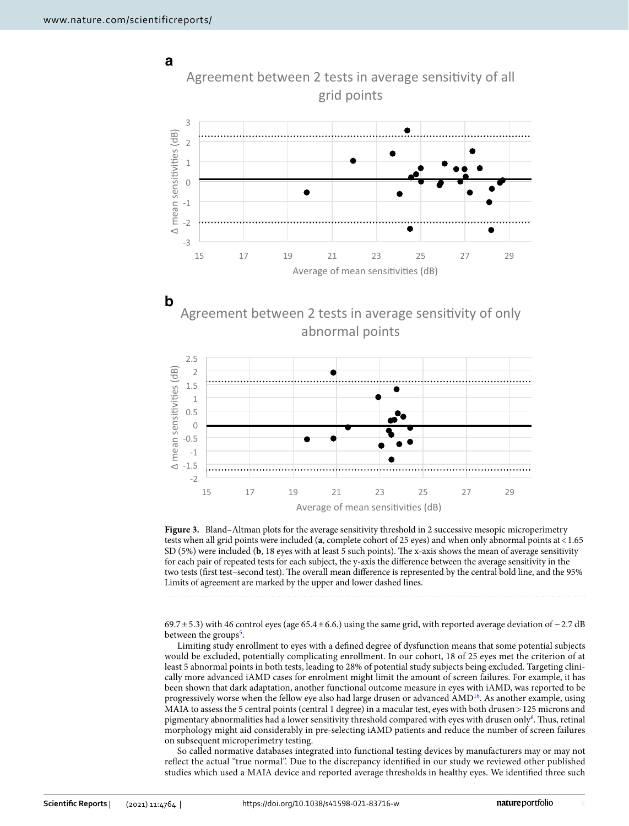**a**



<span id="page-4-0"></span>**Figure 3.** Bland–Altman plots for the average sensitivity threshold in 2 successive mesopic microperimetry tests when all grid points were included (**a**, complete cohort of 25 eyes) and when only abnormal points at<1.65 SD (5%) were included (**b**, 18 eyes with at least 5 such points). The x-axis shows the mean of average sensitivity for each pair of repeated tests for each subject, the y-axis the diference between the average sensitivity in the two tests (first test-second test). The overall mean difference is represented by the central bold line, and the 95% Limits of agreement are marked by the upper and lower dashed lines.

69.7±5.3) with 46 control eyes (age 65.4±6.6.) using the same grid, with reported average deviation of −2.7 dB between the groups<sup>[5](#page-5-6)</sup>.

Limiting study enrollment to eyes with a defned degree of dysfunction means that some potential subjects would be excluded, potentially complicating enrollment. In our cohort, 18 of 25 eyes met the criterion of at least 5 abnormal points in both tests, leading to 28% of potential study subjects being excluded. Targeting clinically more advanced iAMD cases for enrolment might limit the amount of screen failures. For example, it has been shown that dark adaptation, another functional outcome measure in eyes with iAMD, was reported to be progressively worse when the fellow eye also had large drusen or advanced AMD<sup>[16](#page-6-4)</sup>. As another example, using MAIA to assess the 5 central points (central 1 degree) in a macular test, eyes with both drusen > 125 microns and pigmentary abnormalities had a lower sensitivity threshold compared with eyes with drusen only<sup>6</sup>. Thus, retinal morphology might aid considerably in pre-selecting iAMD patients and reduce the number of screen failures on subsequent microperimetry testing.

So called normative databases integrated into functional testing devices by manufacturers may or may not refect the actual "true normal". Due to the discrepancy identifed in our study we reviewed other published studies which used a MAIA device and reported average thresholds in healthy eyes. We identifed three such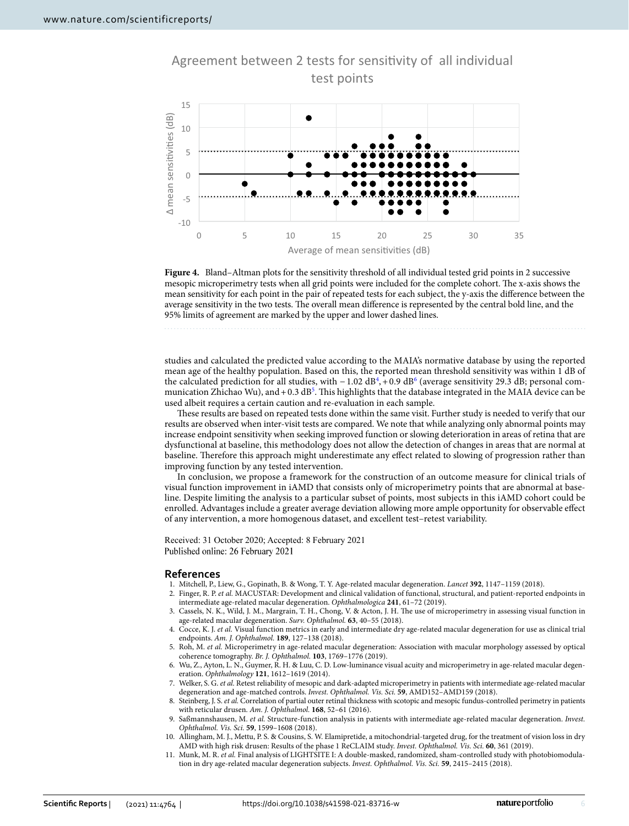

Agreement between 2 tests for sensitivity of all individual test points

<span id="page-5-8"></span>**Figure 4.** Bland–Altman plots for the sensitivity threshold of all individual tested grid points in 2 successive mesopic microperimetry tests when all grid points were included for the complete cohort. The x-axis shows the mean sensitivity for each point in the pair of repeated tests for each subject, the y-axis the diference between the average sensitivity in the two tests. The overall mean difference is represented by the central bold line, and the 95% limits of agreement are marked by the upper and lower dashed lines.

studies and calculated the predicted value according to the MAIA's normative database by using the reported mean age of the healthy population. Based on this, the reported mean threshold sensitivity was within 1 dB of the calculated prediction for all studies, with  $-1.02 \text{ dB}^4$  $-1.02 \text{ dB}^4$ , +0.9 dB<sup>[6](#page-5-9)</sup> (average sensitivity 29.3 dB; personal communication Zhichao Wu), and + 0.3 dB<sup>5</sup>. This highlights that the database integrated in the MAIA device can be used albeit requires a certain caution and re-evaluation in each sample.

These results are based on repeated tests done within the same visit. Further study is needed to verify that our results are observed when inter-visit tests are compared. We note that while analyzing only abnormal points may increase endpoint sensitivity when seeking improved function or slowing deterioration in areas of retina that are dysfunctional at baseline, this methodology does not allow the detection of changes in areas that are normal at baseline. Therefore this approach might underestimate any effect related to slowing of progression rather than improving function by any tested intervention.

In conclusion, we propose a framework for the construction of an outcome measure for clinical trials of visual function improvement in iAMD that consists only of microperimetry points that are abnormal at baseline. Despite limiting the analysis to a particular subset of points, most subjects in this iAMD cohort could be enrolled. Advantages include a greater average deviation allowing more ample opportunity for observable efect of any intervention, a more homogenous dataset, and excellent test–retest variability.

Received: 31 October 2020; Accepted: 8 February 2021 Published online: 26 February 2021

#### **References**

- <span id="page-5-0"></span>1. Mitchell, P., Liew, G., Gopinath, B. & Wong, T. Y. Age-related macular degeneration. *Lancet* **392**, 1147–1159 (2018).
- <span id="page-5-1"></span>2. Finger, R. P. *et al.* MACUSTAR: Development and clinical validation of functional, structural, and patient-reported endpoints in intermediate age-related macular degeneration. *Ophthalmologica* **241**, 61–72 (2019).
- <span id="page-5-2"></span>3. Cassels, N. K., Wild, J. M., Margrain, T. H., Chong, V. & Acton, J. H. The use of microperimetry in assessing visual function in age-related macular degeneration. *Surv. Ophthalmol.* **63**, 40–55 (2018).
- <span id="page-5-3"></span>4. Cocce, K. J. *et al.* Visual function metrics in early and intermediate dry age-related macular degeneration for use as clinical trial endpoints. *Am. J. Ophthalmol.* **189**, 127–138 (2018).
- <span id="page-5-6"></span>5. Roh, M. *et al.* Microperimetry in age-related macular degeneration: Association with macular morphology assessed by optical coherence tomography. *Br. J. Ophthalmol.* **103**, 1769–1776 (2019).
- <span id="page-5-9"></span>6. Wu, Z., Ayton, L. N., Guymer, R. H. & Luu, C. D. Low-luminance visual acuity and microperimetry in age-related macular degeneration. *Ophthalmology* **121**, 1612–1619 (2014).
- <span id="page-5-7"></span>7. Welker, S. G. *et al.* Retest reliability of mesopic and dark-adapted microperimetry in patients with intermediate age-related macular degeneration and age-matched controls. *Invest. Ophthalmol. Vis. Sci.* **59**, AMD152–AMD159 (2018).
- 8. Steinberg, J. S. *et al.* Correlation of partial outer retinal thickness with scotopic and mesopic fundus-controlled perimetry in patients with reticular drusen. *Am. J. Ophthalmol.* **168**, 52–61 (2016).
- <span id="page-5-4"></span>9. Saßmannshausen, M. *et al.* Structure-function analysis in patients with intermediate age-related macular degeneration. *Invest. Ophthalmol. Vis. Sci.* **59**, 1599–1608 (2018).
- <span id="page-5-5"></span>10. Allingham, M. J., Mettu, P. S. & Cousins, S. W. Elamipretide, a mitochondrial-targeted drug, for the treatment of vision loss in dry AMD with high risk drusen: Results of the phase 1 ReCLAIM study. *Invest. Ophthalmol. Vis. Sci.* **60**, 361 (2019).
- 11. Munk, M. R. *et al.* Final analysis of LIGHTSITE I: A double-masked, randomized, sham-controlled study with photobiomodulation in dry age-related macular degeneration subjects. *Invest. Ophthalmol. Vis. Sci.* **59**, 2415–2415 (2018).